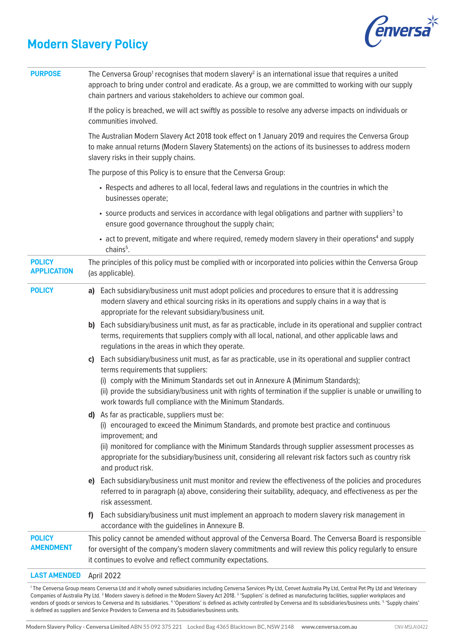## **Modern Slavery Policy**



| <b>PURPOSE</b>                      | The Cenversa Group <sup>1</sup> recognises that modern slavery <sup>2</sup> is an international issue that requires a united<br>approach to bring under control and eradicate. As a group, we are committed to working with our supply<br>chain partners and various stakeholders to achieve our common goal.                                                                                                         |
|-------------------------------------|-----------------------------------------------------------------------------------------------------------------------------------------------------------------------------------------------------------------------------------------------------------------------------------------------------------------------------------------------------------------------------------------------------------------------|
|                                     | If the policy is breached, we will act swiftly as possible to resolve any adverse impacts on individuals or<br>communities involved.                                                                                                                                                                                                                                                                                  |
|                                     | The Australian Modern Slavery Act 2018 took effect on 1 January 2019 and requires the Cenversa Group<br>to make annual returns (Modern Slavery Statements) on the actions of its businesses to address modern<br>slavery risks in their supply chains.                                                                                                                                                                |
|                                     | The purpose of this Policy is to ensure that the Cenversa Group:                                                                                                                                                                                                                                                                                                                                                      |
|                                     | • Respects and adheres to all local, federal laws and regulations in the countries in which the<br>businesses operate;                                                                                                                                                                                                                                                                                                |
|                                     | • source products and services in accordance with legal obligations and partner with suppliers <sup>3</sup> to<br>ensure good governance throughout the supply chain;                                                                                                                                                                                                                                                 |
|                                     | • act to prevent, mitigate and where required, remedy modern slavery in their operations <sup>4</sup> and supply<br>chains <sup>5</sup> .                                                                                                                                                                                                                                                                             |
| <b>POLICY</b><br><b>APPLICATION</b> | The principles of this policy must be complied with or incorporated into policies within the Cenversa Group<br>(as applicable).                                                                                                                                                                                                                                                                                       |
| <b>POLICY</b>                       | a) Each subsidiary/business unit must adopt policies and procedures to ensure that it is addressing<br>modern slavery and ethical sourcing risks in its operations and supply chains in a way that is<br>appropriate for the relevant subsidiary/business unit.                                                                                                                                                       |
|                                     | Each subsidiary/business unit must, as far as practicable, include in its operational and supplier contract<br>b)<br>terms, requirements that suppliers comply with all local, national, and other applicable laws and<br>regulations in the areas in which they operate.                                                                                                                                             |
|                                     | Each subsidiary/business unit must, as far as practicable, use in its operational and supplier contract<br>C)<br>terms requirements that suppliers:<br>(i) comply with the Minimum Standards set out in Annexure A (Minimum Standards);<br>(ii) provide the subsidiary/business unit with rights of termination if the supplier is unable or unwilling to<br>work towards full compliance with the Minimum Standards. |
|                                     | d) As far as practicable, suppliers must be:<br>(i) encouraged to exceed the Minimum Standards, and promote best practice and continuous<br>improvement; and<br>(ii) monitored for compliance with the Minimum Standards through supplier assessment processes as<br>appropriate for the subsidiary/business unit, considering all relevant risk factors such as country risk                                         |
|                                     | and product risk.                                                                                                                                                                                                                                                                                                                                                                                                     |
|                                     | Each subsidiary/business unit must monitor and review the effectiveness of the policies and procedures<br>e)<br>referred to in paragraph (a) above, considering their suitability, adequacy, and effectiveness as per the<br>risk assessment.                                                                                                                                                                         |
|                                     | Each subsidiary/business unit must implement an approach to modern slavery risk management in<br>T)<br>accordance with the guidelines in Annexure B.                                                                                                                                                                                                                                                                  |
| <b>POLICY</b><br><b>AMENDMENT</b>   | This policy cannot be amended without approval of the Cenversa Board. The Cenversa Board is responsible<br>for oversight of the company's modern slavery commitments and will review this policy regularly to ensure<br>it continues to evolve and reflect community expectations.                                                                                                                                    |
| <b>LAST AMENDED</b>                 | April 2022                                                                                                                                                                                                                                                                                                                                                                                                            |

1 The Cenversa Group means Cenversa Ltd and it wholly owned subsidiaries including Cenversa Services Pty Ltd, Cenvet Australia Pty Ltd, Central Pet Pty Ltd and Veterinary Companies of Australia Pty Ltd. <sup>2</sup> Modern slavery is defined in the Modern Slavery Act 2018.<sup>3</sup> 'Suppliers' is defined as manufacturing facilities, supplier workplaces and vendors of goods or services to Cenversa and its subsidiaries. <sup>4</sup> 'Operations' is defined as activity controlled by Cenversa and its subsidiaries/business units. <sup>5</sup> 'Supply chains' is defined as suppliers and Service Providers to Cenversa and its Subsidiaries/business units.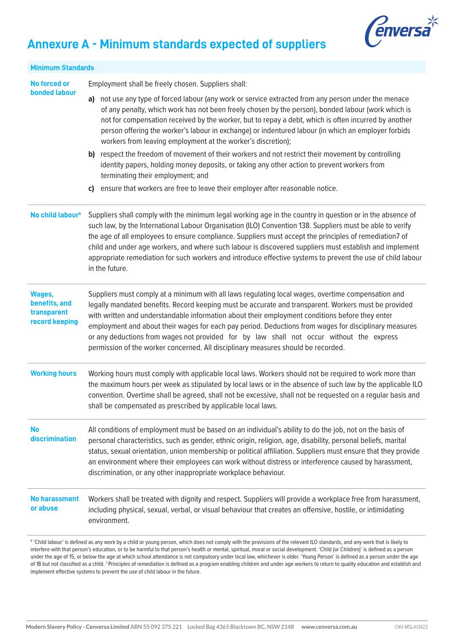

## **Annexure A - Minimum standards expected of suppliers**

| <b>Minimum Standards</b>                                 |                                                                                                                                                                                                                                                                                                                                                                                                                                                                                                                                                                                                         |
|----------------------------------------------------------|---------------------------------------------------------------------------------------------------------------------------------------------------------------------------------------------------------------------------------------------------------------------------------------------------------------------------------------------------------------------------------------------------------------------------------------------------------------------------------------------------------------------------------------------------------------------------------------------------------|
| No forced or<br><b>bonded labour</b>                     | Employment shall be freely chosen. Suppliers shall:<br>not use any type of forced labour (any work or service extracted from any person under the menace<br>a)<br>of any penalty, which work has not been freely chosen by the person), bonded labour (work which is<br>not for compensation received by the worker, but to repay a debt, which is often incurred by another                                                                                                                                                                                                                            |
|                                                          | person offering the worker's labour in exchange) or indentured labour (in which an employer forbids<br>workers from leaving employment at the worker's discretion);<br>b) respect the freedom of movement of their workers and not restrict their movement by controlling<br>identity papers, holding money deposits, or taking any other action to prevent workers from<br>terminating their employment; and                                                                                                                                                                                           |
|                                                          | ensure that workers are free to leave their employer after reasonable notice.<br>C)                                                                                                                                                                                                                                                                                                                                                                                                                                                                                                                     |
| No child labour <sup>6</sup>                             | Suppliers shall comply with the minimum legal working age in the country in question or in the absence of<br>such law, by the International Labour Organisation (ILO) Convention 138. Suppliers must be able to verify<br>the age of all employees to ensure compliance. Suppliers must accept the principles of remediation7 of<br>child and under age workers, and where such labour is discovered suppliers must establish and implement<br>appropriate remediation for such workers and introduce effective systems to prevent the use of child labour<br>in the future.                            |
| Wages,<br>benefits, and<br>transparent<br>record keeping | Suppliers must comply at a minimum with all laws regulating local wages, overtime compensation and<br>legally mandated benefits. Record keeping must be accurate and transparent. Workers must be provided<br>with written and understandable information about their employment conditions before they enter<br>employment and about their wages for each pay period. Deductions from wages for disciplinary measures<br>or any deductions from wages not provided for by law shall not occur without the express<br>permission of the worker concerned. All disciplinary measures should be recorded. |
| <b>Working hours</b>                                     | Working hours must comply with applicable local laws. Workers should not be required to work more than<br>the maximum hours per week as stipulated by local laws or in the absence of such law by the applicable ILO<br>convention. Overtime shall be agreed, shall not be excessive, shall not be requested on a regular basis and<br>shall be compensated as prescribed by applicable local laws.                                                                                                                                                                                                     |
| <b>No</b><br>discrimination                              | All conditions of employment must be based on an individual's ability to do the job, not on the basis of<br>personal characteristics, such as gender, ethnic origin, religion, age, disability, personal beliefs, marital<br>status, sexual orientation, union membership or political affiliation. Suppliers must ensure that they provide<br>an environment where their employees can work without distress or interference caused by harassment,<br>discrimination, or any other inappropriate workplace behaviour.                                                                                  |
| <b>No harassment</b><br>or abuse                         | Workers shall be treated with dignity and respect. Suppliers will provide a workplace free from harassment,<br>including physical, sexual, verbal, or visual behaviour that creates an offensive, hostile, or intimidating<br>environment.                                                                                                                                                                                                                                                                                                                                                              |
|                                                          |                                                                                                                                                                                                                                                                                                                                                                                                                                                                                                                                                                                                         |

 $^{\rm 6}$  'Child labour' is defined as any work by a child or young person, which does not comply with the provisions of the relevant ILO standards, and any work that is likely to interfere with that person's education, or to be harmful to that person's health or mental, spiritual, moral or social development. 'Child (or Children)' is defined as a person under the age of 15, or below the age at which school attendance is not compulsory under local law, whichever is older. 'Young Person' is defined as a person under the age of 18 but not classified as a child. 7 Principles of remediation is defined as a program enabling children and under age workers to return to quality education and establish and implement effective systems to prevent the use of child labour in the future.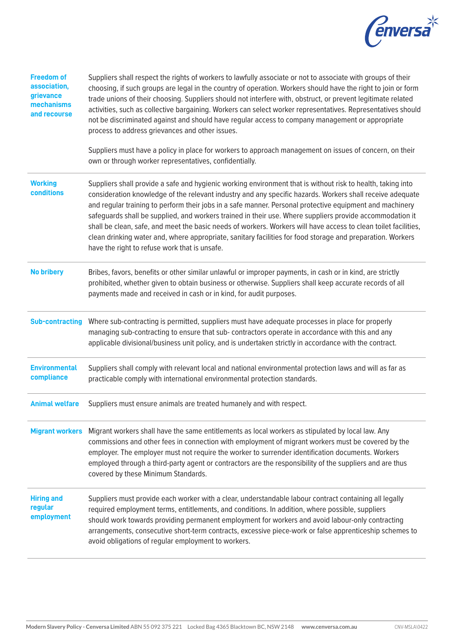

| <b>Freedom of</b><br>association,<br>grievance<br>mechanisms<br>and recourse | Suppliers shall respect the rights of workers to lawfully associate or not to associate with groups of their<br>choosing, if such groups are legal in the country of operation. Workers should have the right to join or form<br>trade unions of their choosing. Suppliers should not interfere with, obstruct, or prevent legitimate related<br>activities, such as collective bargaining. Workers can select worker representatives. Representatives should<br>not be discriminated against and should have regular access to company management or appropriate<br>process to address grievances and other issues.<br>Suppliers must have a policy in place for workers to approach management on issues of concern, on their<br>own or through worker representatives, confidentially. |
|------------------------------------------------------------------------------|-------------------------------------------------------------------------------------------------------------------------------------------------------------------------------------------------------------------------------------------------------------------------------------------------------------------------------------------------------------------------------------------------------------------------------------------------------------------------------------------------------------------------------------------------------------------------------------------------------------------------------------------------------------------------------------------------------------------------------------------------------------------------------------------|
| <b>Working</b>                                                               | Suppliers shall provide a safe and hygienic working environment that is without risk to health, taking into                                                                                                                                                                                                                                                                                                                                                                                                                                                                                                                                                                                                                                                                               |
| <b>conditions</b>                                                            | consideration knowledge of the relevant industry and any specific hazards. Workers shall receive adequate<br>and regular training to perform their jobs in a safe manner. Personal protective equipment and machinery<br>safeguards shall be supplied, and workers trained in their use. Where suppliers provide accommodation it<br>shall be clean, safe, and meet the basic needs of workers. Workers will have access to clean toilet facilities,<br>clean drinking water and, where appropriate, sanitary facilities for food storage and preparation. Workers<br>have the right to refuse work that is unsafe.                                                                                                                                                                       |
| <b>No bribery</b>                                                            | Bribes, favors, benefits or other similar unlawful or improper payments, in cash or in kind, are strictly<br>prohibited, whether given to obtain business or otherwise. Suppliers shall keep accurate records of all<br>payments made and received in cash or in kind, for audit purposes.                                                                                                                                                                                                                                                                                                                                                                                                                                                                                                |
| <b>Sub-contracting</b>                                                       | Where sub-contracting is permitted, suppliers must have adequate processes in place for properly<br>managing sub-contracting to ensure that sub- contractors operate in accordance with this and any<br>applicable divisional/business unit policy, and is undertaken strictly in accordance with the contract.                                                                                                                                                                                                                                                                                                                                                                                                                                                                           |
| <b>Environmental</b><br>compliance                                           | Suppliers shall comply with relevant local and national environmental protection laws and will as far as<br>practicable comply with international environmental protection standards.                                                                                                                                                                                                                                                                                                                                                                                                                                                                                                                                                                                                     |
| <b>Animal welfare</b>                                                        | Suppliers must ensure animals are treated humanely and with respect.                                                                                                                                                                                                                                                                                                                                                                                                                                                                                                                                                                                                                                                                                                                      |
| <b>Migrant workers</b>                                                       | Migrant workers shall have the same entitlements as local workers as stipulated by local law. Any<br>commissions and other fees in connection with employment of migrant workers must be covered by the<br>employer. The employer must not require the worker to surrender identification documents. Workers<br>employed through a third-party agent or contractors are the responsibility of the suppliers and are thus<br>covered by these Minimum Standards.                                                                                                                                                                                                                                                                                                                           |
| <b>Hiring and</b><br>regular<br>employment                                   | Suppliers must provide each worker with a clear, understandable labour contract containing all legally<br>required employment terms, entitlements, and conditions. In addition, where possible, suppliers<br>should work towards providing permanent employment for workers and avoid labour-only contracting<br>arrangements, consecutive short-term contracts, excessive piece-work or false apprenticeship schemes to<br>avoid obligations of regular employment to workers.                                                                                                                                                                                                                                                                                                           |